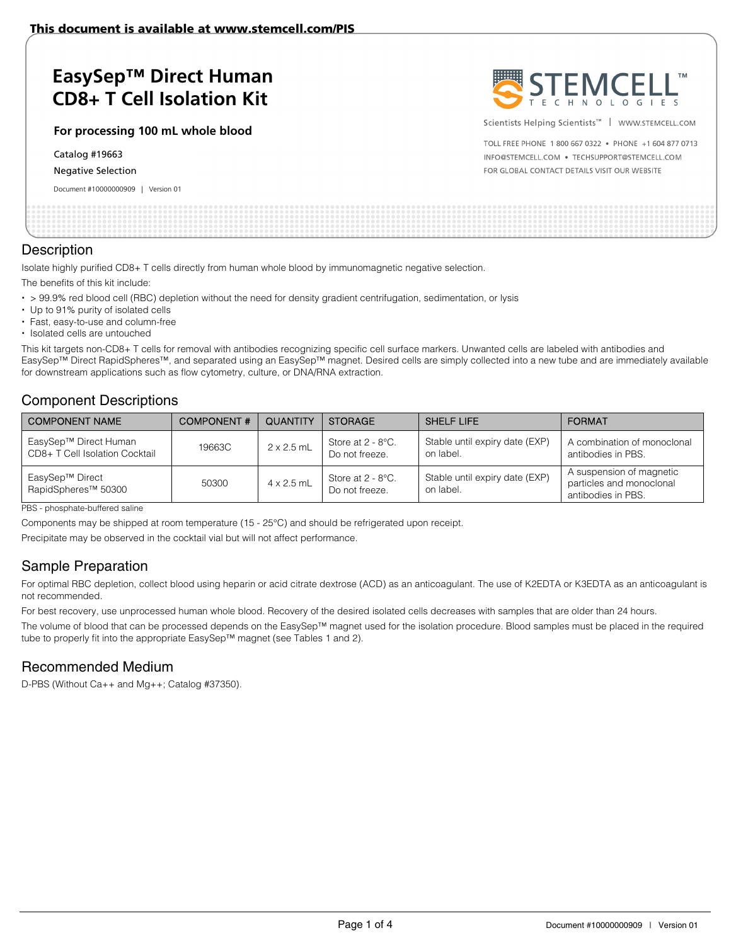# **EasySep™ Direct Human CD8+ T Cell Isolation Kit**

**For processing 100 mL whole blood** 

Catalog #19663

#### Negative Selection

Document #10000000909 | Version 01



Scientists Helping Scientists<sup>™</sup> | WWW.STEMCELL.COM

TOLL FREE PHONE 1 800 667 0322 . PHONE +1 604 877 0713 INFO@STEMCELL.COM . TECHSUPPORT@STEMCELL.COM FOR GLOBAL CONTACT DETAILS VISIT OUR WEBSITE

#### **Description**

Isolate highly purified CD8+ T cells directly from human whole blood by immunomagnetic negative selection.

The benefits of this kit include:

- > 99.9% red blood cell (RBC) depletion without the need for density gradient centrifugation, sedimentation, or lysis
- Up to 91% purity of isolated cells
- Fast, easy-to-use and column-free
- Isolated cells are untouched

This kit targets non-CD8+ T cells for removal with antibodies recognizing specific cell surface markers. Unwanted cells are labeled with antibodies and EasySep™ Direct RapidSpheres™, and separated using an EasySep™ magnet. Desired cells are simply collected into a new tube and are immediately available for downstream applications such as flow cytometry, culture, or DNA/RNA extraction.

### Component Descriptions

| <b>COMPONENT NAME</b>                                   | <b>COMPONENT#</b> | <b>QUANTITY</b>   | <b>STORAGE</b>                         | <b>SHELF LIFE</b>                           | <b>FORMAT</b>                                                              |
|---------------------------------------------------------|-------------------|-------------------|----------------------------------------|---------------------------------------------|----------------------------------------------------------------------------|
| EasySep™ Direct Human<br>CD8+ T Cell Isolation Cocktail | 19663C            | $2 \times 2.5$ mL | Store at $2 - 8$ °C.<br>Do not freeze. | Stable until expiry date (EXP)<br>on label. | A combination of monoclonal<br>antibodies in PBS.                          |
| EasySep™ Direct<br>RapidSpheres <sup>™</sup> 50300      | 50300             | $4 \times 2.5$ mL | Store at $2 - 8$ °C.<br>Do not freeze. | Stable until expiry date (EXP)<br>on label. | A suspension of magnetic<br>particles and monoclonal<br>antibodies in PBS. |

PBS - phosphate-buffered saline

Components may be shipped at room temperature (15 - 25°C) and should be refrigerated upon receipt.

Precipitate may be observed in the cocktail vial but will not affect performance.

## Sample Preparation

For optimal RBC depletion, collect blood using heparin or acid citrate dextrose (ACD) as an anticoagulant. The use of K2EDTA or K3EDTA as an anticoagulant is not recommended.

For best recovery, use unprocessed human whole blood. Recovery of the desired isolated cells decreases with samples that are older than 24 hours.

The volume of blood that can be processed depends on the EasySep™ magnet used for the isolation procedure. Blood samples must be placed in the required tube to properly fit into the appropriate EasySep™ magnet (see Tables 1 and 2).

### Recommended Medium

D-PBS (Without Ca++ and Mg++; Catalog #37350).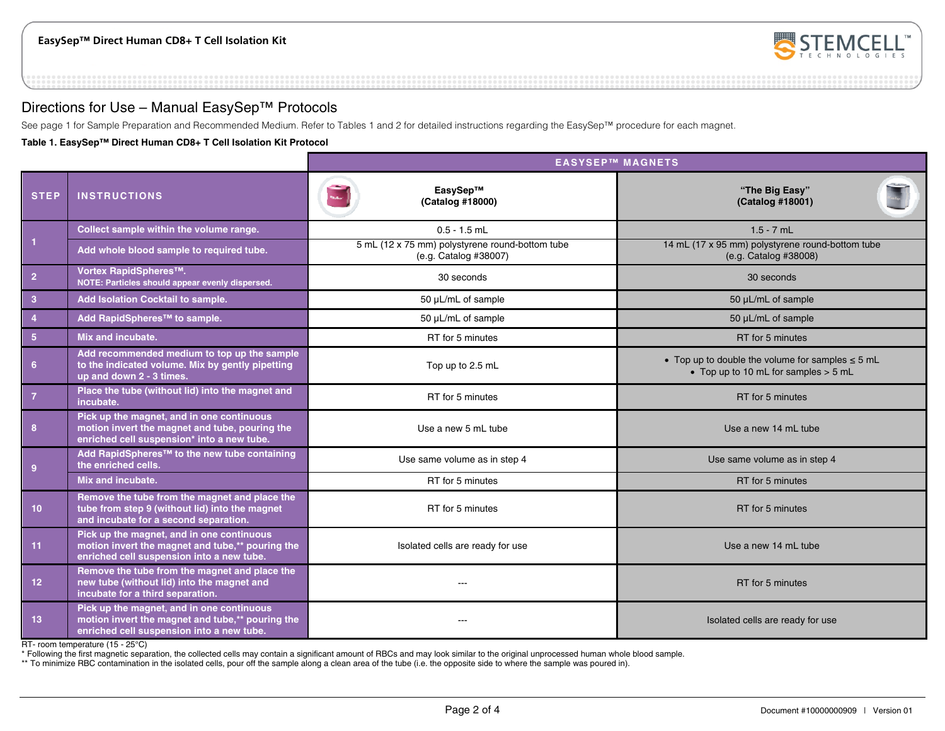

### Directions for Use – Manual EasySep™ Protocols

See page 1 for Sample Preparation and Recommended Medium. Refer to Tables 1 and 2 for detailed instructions regarding the EasySep™ procedure for each magnet.

**Table 1. EasySep™ Direct Human CD8+ T Cell Isolation Kit Protocol** 

|                         |                                                                                                                                            | <b>EASYSEP™ MAGNETS</b>                                                  |                                                                                               |  |  |
|-------------------------|--------------------------------------------------------------------------------------------------------------------------------------------|--------------------------------------------------------------------------|-----------------------------------------------------------------------------------------------|--|--|
| <b>STEP</b>             | <b>INSTRUCTIONS</b>                                                                                                                        | EasySep™<br>(Catalog #18000)                                             | "The Big Easy"<br>(Catalog #18001)                                                            |  |  |
| $\vert$ 1               | Collect sample within the volume range.                                                                                                    | $0.5 - 1.5$ mL                                                           | $1.5 - 7$ mL                                                                                  |  |  |
|                         | Add whole blood sample to required tube.                                                                                                   | 5 mL (12 x 75 mm) polystyrene round-bottom tube<br>(e.g. Catalog #38007) | 14 mL (17 x 95 mm) polystyrene round-bottom tube<br>(e.g. Catalog #38008)                     |  |  |
| $\overline{2}$          | Vortex RapidSpheres™.<br>NOTE: Particles should appear evenly dispersed.                                                                   | 30 seconds                                                               | 30 seconds                                                                                    |  |  |
| $\overline{\mathbf{3}}$ | Add Isolation Cocktail to sample.                                                                                                          | 50 µL/mL of sample                                                       | 50 µL/mL of sample                                                                            |  |  |
| $\overline{4}$          | Add RapidSpheres™ to sample.                                                                                                               | 50 µL/mL of sample                                                       | 50 µL/mL of sample                                                                            |  |  |
| 5 <sub>5</sub>          | Mix and incubate.                                                                                                                          | RT for 5 minutes                                                         | RT for 5 minutes                                                                              |  |  |
| 6                       | Add recommended medium to top up the sample<br>to the indicated volume. Mix by gently pipetting<br>up and down 2 - 3 times.                | Top up to 2.5 mL                                                         | • Top up to double the volume for samples $\leq$ 5 mL<br>• Top up to 10 mL for samples > 5 mL |  |  |
| $\overline{7}$          | Place the tube (without lid) into the magnet and<br>incubate.                                                                              | RT for 5 minutes                                                         | RT for 5 minutes                                                                              |  |  |
| 8                       | Pick up the magnet, and in one continuous<br>motion invert the magnet and tube, pouring the<br>enriched cell suspension* into a new tube.  | Use a new 5 mL tube                                                      | Use a new 14 mL tube                                                                          |  |  |
| 9                       | Add RapidSpheres <sup>™</sup> to the new tube containing<br>the enriched cells.                                                            | Use same volume as in step 4                                             | Use same volume as in step 4                                                                  |  |  |
|                         | Mix and incubate.                                                                                                                          | RT for 5 minutes                                                         | RT for 5 minutes                                                                              |  |  |
| 10 <sup>°</sup>         | Remove the tube from the magnet and place the<br>tube from step 9 (without lid) into the magnet<br>and incubate for a second separation.   | RT for 5 minutes                                                         | RT for 5 minutes                                                                              |  |  |
| 11                      | Pick up the magnet, and in one continuous<br>motion invert the magnet and tube,** pouring the<br>enriched cell suspension into a new tube. | Isolated cells are ready for use                                         | Use a new 14 mL tube                                                                          |  |  |
| 12 <sub>1</sub>         | Remove the tube from the magnet and place the<br>new tube (without lid) into the magnet and<br>incubate for a third separation.            | $---$                                                                    | RT for 5 minutes                                                                              |  |  |
| 13                      | Pick up the magnet, and in one continuous<br>motion invert the magnet and tube,** pouring the<br>enriched cell suspension into a new tube. | $- - -$                                                                  | Isolated cells are ready for use                                                              |  |  |

RT- room temperature (15 - 25°C)

\* Following the first magnetic separation, the collected cells may contain a significant amount of RBCs and may look similar to the original unprocessed human whole blood sample.

\*\* To minimize RBC contamination in the isolated cells, pour off the sample along a clean area of the tube (i.e. the opposite side to where the sample was poured in).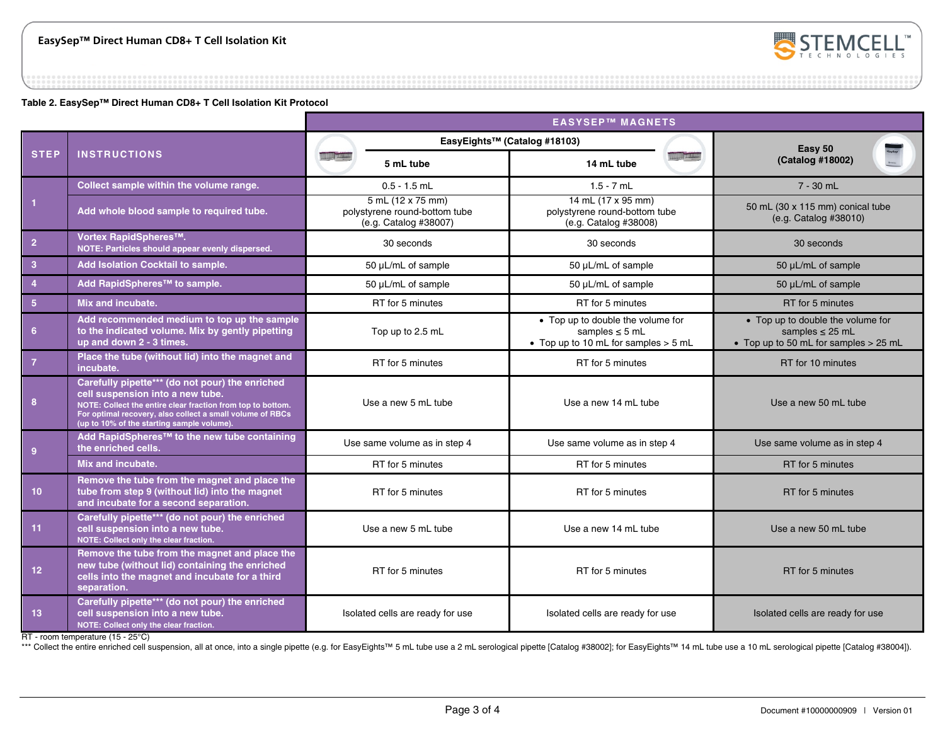

**Table 2. EasySep™ Direct Human CD8+ T Cell Isolation Kit Protocol** 

|                |                                                                                                                                                                                                                                                               | <b>EASYSEP™ MAGNETS</b>                                                     |                                                                                                    |                                                                                                    |
|----------------|---------------------------------------------------------------------------------------------------------------------------------------------------------------------------------------------------------------------------------------------------------------|-----------------------------------------------------------------------------|----------------------------------------------------------------------------------------------------|----------------------------------------------------------------------------------------------------|
| <b>STEP</b>    | <b>INSTRUCTIONS</b>                                                                                                                                                                                                                                           |                                                                             | EasyEights™ (Catalog #18103)                                                                       | Easy 50<br>(Catalog #18002)                                                                        |
|                |                                                                                                                                                                                                                                                               | 5 mL tube                                                                   | <b>AND TAXAL</b><br>14 mL tube                                                                     |                                                                                                    |
|                | Collect sample within the volume range.                                                                                                                                                                                                                       | $0.5 - 1.5$ mL                                                              | $1.5 - 7$ mL                                                                                       | $7 - 30$ mL                                                                                        |
| $\overline{1}$ | Add whole blood sample to required tube.                                                                                                                                                                                                                      | 5 mL (12 x 75 mm)<br>polystyrene round-bottom tube<br>(e.g. Catalog #38007) | 14 mL (17 x 95 mm)<br>polystyrene round-bottom tube<br>(e.g. Catalog #38008)                       | 50 mL (30 x 115 mm) conical tube<br>(e.g. Catalog #38010)                                          |
| $\overline{2}$ | Vortex RapidSpheres™.<br>NOTE: Particles should appear evenly dispersed.                                                                                                                                                                                      | 30 seconds                                                                  | 30 seconds                                                                                         | 30 seconds                                                                                         |
| 3 <sup>°</sup> | Add Isolation Cocktail to sample.                                                                                                                                                                                                                             | 50 µL/mL of sample                                                          | 50 µL/mL of sample                                                                                 | 50 µL/mL of sample                                                                                 |
| $\overline{4}$ | Add RapidSpheres™ to sample.                                                                                                                                                                                                                                  | 50 µL/mL of sample                                                          | 50 µL/mL of sample                                                                                 | 50 µL/mL of sample                                                                                 |
| 5 <sub>1</sub> | Mix and incubate.                                                                                                                                                                                                                                             | RT for 5 minutes                                                            | RT for 5 minutes                                                                                   | RT for 5 minutes                                                                                   |
| 6 <sup>6</sup> | Add recommended medium to top up the sample<br>to the indicated volume. Mix by gently pipetting<br>up and down 2 - 3 times.                                                                                                                                   | Top up to 2.5 mL                                                            | • Top up to double the volume for<br>samples $\leq$ 5 mL<br>• Top up to 10 mL for samples $>$ 5 mL | • Top up to double the volume for<br>samples $\leq$ 25 mL<br>• Top up to 50 mL for samples > 25 mL |
| $\overline{7}$ | Place the tube (without lid) into the magnet and<br>incubate.                                                                                                                                                                                                 | RT for 5 minutes                                                            | RT for 5 minutes                                                                                   | RT for 10 minutes                                                                                  |
| 8              | Carefully pipette*** (do not pour) the enriched<br>cell suspension into a new tube.<br>NOTE: Collect the entire clear fraction from top to bottom.<br>For optimal recovery, also collect a small volume of RBCs<br>(up to 10% of the starting sample volume). | Use a new 5 mL tube<br>Use a new 14 mL tube                                 |                                                                                                    | Use a new 50 mL tube                                                                               |
| $\overline{9}$ | Add RapidSpheres <sup>™</sup> to the new tube containing<br>the enriched cells.                                                                                                                                                                               | Use same volume as in step 4                                                | Use same volume as in step 4                                                                       | Use same volume as in step 4                                                                       |
|                | Mix and incubate.                                                                                                                                                                                                                                             | RT for 5 minutes<br>RT for 5 minutes                                        |                                                                                                    | RT for 5 minutes                                                                                   |
| 10             | Remove the tube from the magnet and place the<br>tube from step 9 (without lid) into the magnet<br>and incubate for a second separation.                                                                                                                      | RT for 5 minutes                                                            | RT for 5 minutes                                                                                   | RT for 5 minutes                                                                                   |
| 11             | Carefully pipette*** (do not pour) the enriched<br>cell suspension into a new tube.<br>NOTE: Collect only the clear fraction.                                                                                                                                 | Use a new 5 mL tube                                                         | Use a new 14 mL tube                                                                               | Use a new 50 mL tube                                                                               |
| 12             | Remove the tube from the magnet and place the<br>new tube (without lid) containing the enriched<br>cells into the magnet and incubate for a third<br>separation.                                                                                              | RT for 5 minutes                                                            | RT for 5 minutes                                                                                   | RT for 5 minutes                                                                                   |
| 13             | Carefully pipette*** (do not pour) the enriched<br>cell suspension into a new tube.<br>NOTE: Collect only the clear fraction.                                                                                                                                 | Isolated cells are ready for use                                            | Isolated cells are ready for use                                                                   | Isolated cells are ready for use                                                                   |

RT - room temperature (15 - 25°C)

\*\*\* Collect the entire enriched cell suspension, all at once, into a single pipette (e.g. for EasyEights™ 5 mL tube use a 2 mL serological pipette [Catalog #38002]; for EasyEights™ 14 mL tube use a 10 mL serological pipet